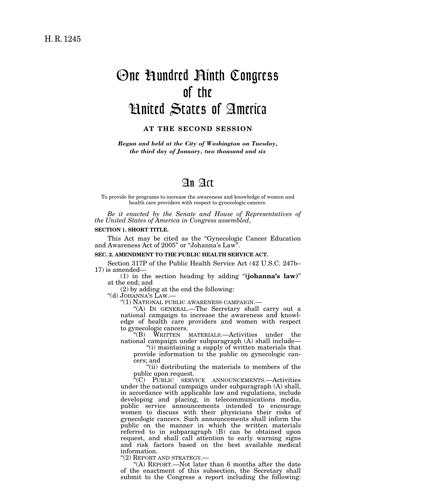# One Hundred Ninth Congress of the United States of America

# **AT THE SECOND SESSION**

*Begun and held at the City of Washington on Tuesday, the third day of January, two thousand and six* 

# An Act

To provide for programs to increase the awareness and knowledge of women and health care providers with respect to gynecologic cancers.

*Be it enacted by the Senate and House of Representatives of the United States of America in Congress assembled*,

#### **SECTION 1. SHORT TITLE.**

This Act may be cited as the ''Gynecologic Cancer Education and Awareness Act of 2005'' or ''Johanna's Law''.

#### **SEC. 2. AMENDMENT TO THE PUBLIC HEALTH SERVICE ACT.**

Section 317P of the Public Health Service Act (42 U.S.C. 247b– 17) is amended—

(1) in the section heading by adding ''**(johanna's law)**'' at the end; and

(2) by adding at the end the following:

''(d) JOHANNA'S LAW.—

''(1) NATIONAL PUBLIC AWARENESS CAMPAIGN.—

''(A) IN GENERAL.—The Secretary shall carry out a national campaign to increase the awareness and knowledge of health care providers and women with respect to gynecologic cancers.<br>"(B) WRITTEN

WRITTEN MATERIALS.—Activities under the national campaign under subparagraph (A) shall include—

''(i) maintaining a supply of written materials that provide information to the public on gynecologic cancers; and

''(ii) distributing the materials to members of the public upon request.

''(C) PUBLIC SERVICE ANNOUNCEMENTS.—Activities under the national campaign under subparagraph (A) shall, in accordance with applicable law and regulations, include developing and placing, in telecommunications media, public service announcements intended to encourage women to discuss with their physicians their risks of gynecologic cancers. Such announcements shall inform the public on the manner in which the written materials referred to in subparagraph (B) can be obtained upon request, and shall call attention to early warning signs and risk factors based on the best available medical information.<br>"(2) REPORT AND STRATEGY.

"(A) REPORT.—Not later than 6 months after the date of the enactment of this subsection, the Secretary shall submit to the Congress a report including the following: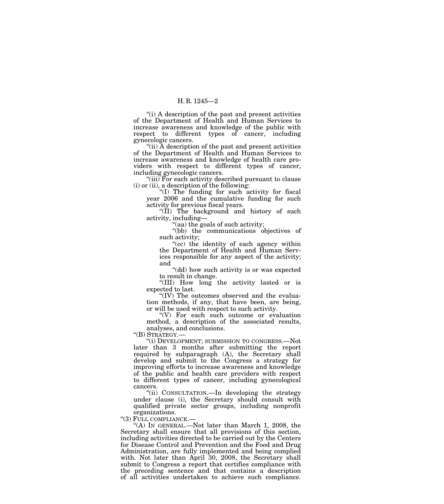### H. R. 1245—2

''(i) A description of the past and present activities of the Department of Health and Human Services to increase awareness and knowledge of the public with respect to different types of cancer, including gynecologic cancers.

"(ii) A description of the past and present activities of the Department of Health and Human Services to increase awareness and knowledge of health care providers with respect to different types of cancer, including gynecologic cancers.

"(iii) For each activity described pursuant to clause (i) or (ii), a description of the following:

''(I) The funding for such activity for fiscal year 2006 and the cumulative funding for such activity for previous fiscal years.

''(II) The background and history of such activity, including—

''(aa) the goals of such activity;

''(bb) the communications objectives of such activity;

"(cc) the identity of each agency within the Department of Health and Human Services responsible for any aspect of the activity; and

''(dd) how such activity is or was expected to result in change.

''(III) How long the activity lasted or is expected to last.

''(IV) The outcomes observed and the evaluation methods, if any, that have been, are being, or will be used with respect to such activity.

''(V) For each such outcome or evaluation method, a description of the associated results, analyses, and conclusions.

''(B) STRATEGY.—

''(i) DEVELOPMENT; SUBMISSION TO CONGRESS.—Not later than 3 months after submitting the report required by subparagraph (A), the Secretary shall develop and submit to the Congress a strategy for improving efforts to increase awareness and knowledge of the public and health care providers with respect to different types of cancer, including gynecological cancers.

''(ii) CONSULTATION.—In developing the strategy under clause (i), the Secretary should consult with qualified private sector groups, including nonprofit organizations.

''(3) FULL COMPLIANCE.—

''(A) IN GENERAL.—Not later than March 1, 2008, the Secretary shall ensure that all provisions of this section, including activities directed to be carried out by the Centers for Disease Control and Prevention and the Food and Drug Administration, are fully implemented and being complied with. Not later than April 30, 2008, the Secretary shall submit to Congress a report that certifies compliance with the preceding sentence and that contains a description of all activities undertaken to achieve such compliance.